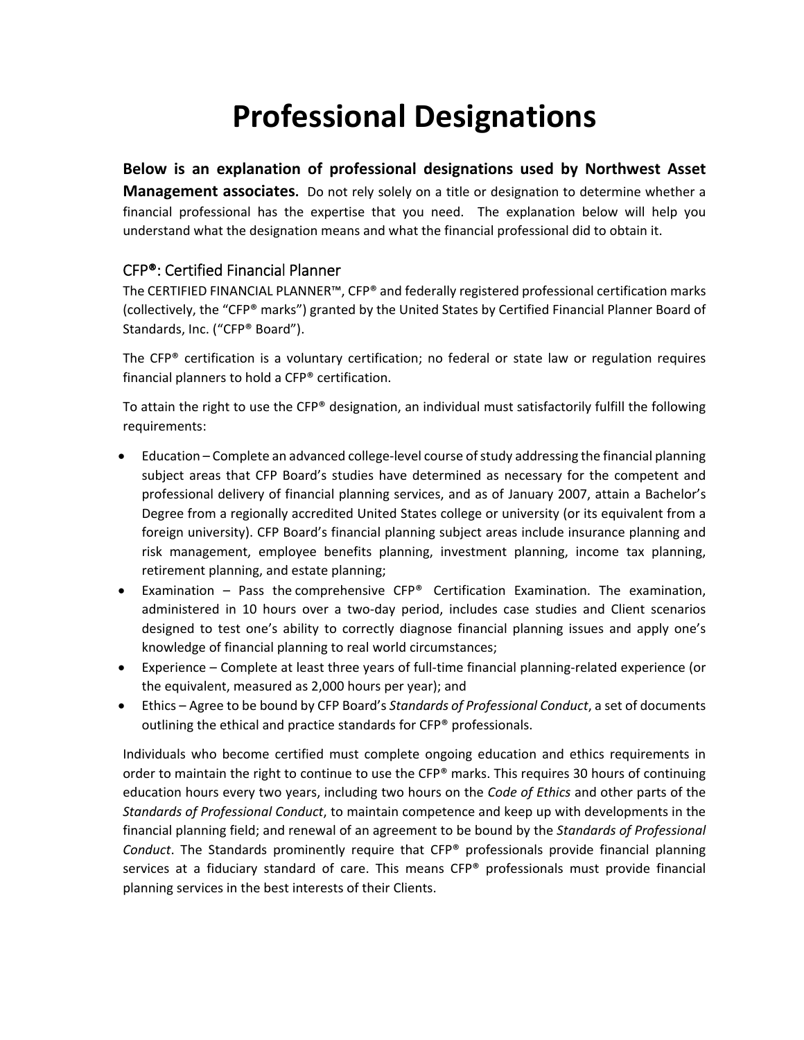# **Professional Designations**

### **Below is an explanation of professional designations used by Northwest Asset**

**Management associates.** Do not rely solely on a title or designation to determine whether a financial professional has the expertise that you need. The explanation below will help you understand what the designation means and what the financial professional did to obtain it.

## CFP®: Certified Financial Planner

The CERTIFIED FINANCIAL PLANNER™, CFP® and federally registered professional certification marks (collectively, the "CFP® marks") granted by the United States by Certified Financial Planner Board of Standards, Inc. ("CFP® Board").

The  $CFP<sup>®</sup>$  certification is a voluntary certification; no federal or state law or regulation requires financial planners to hold a CFP® certification.

To attain the right to use the CFP® designation, an individual must satisfactorily fulfill the following requirements:

- Education Complete an advanced college-level course of study addressing the financial planning subject areas that CFP Board's studies have determined as necessary for the competent and professional delivery of financial planning services, and as of January 2007, attain a Bachelor's Degree from a regionally accredited United States college or university (or its equivalent from a foreign university). CFP Board's financial planning subject areas include insurance planning and risk management, employee benefits planning, investment planning, income tax planning, retirement planning, and estate planning;
- **•** Examination  $-$  Pass the comprehensive  $CFP^*$  Certification Examination. The examination, administered in 10 hours over a two-day period, includes case studies and Client scenarios designed to test one's ability to correctly diagnose financial planning issues and apply one's knowledge of financial planning to real world circumstances;
- Experience Complete at least three years of full-time financial planning-related experience (or the equivalent, measured as 2,000 hours per year); and
- Ethics Agree to be bound by CFP Board's *Standards of Professional Conduct*, a set of documents outlining the ethical and practice standards for CFP® professionals.

Individuals who become certified must complete ongoing education and ethics requirements in order to maintain the right to continue to use the CFP® marks. This requires 30 hours of continuing education hours every two years, including two hours on the *Code of Ethics* and other parts of the *Standards of Professional Conduct*, to maintain competence and keep up with developments in the financial planning field; and renewal of an agreement to be bound by the *Standards of Professional Conduct*. The Standards prominently require that CFP® professionals provide financial planning services at a fiduciary standard of care. This means  $CFP<sup>®</sup>$  professionals must provide financial planning services in the best interests of their Clients.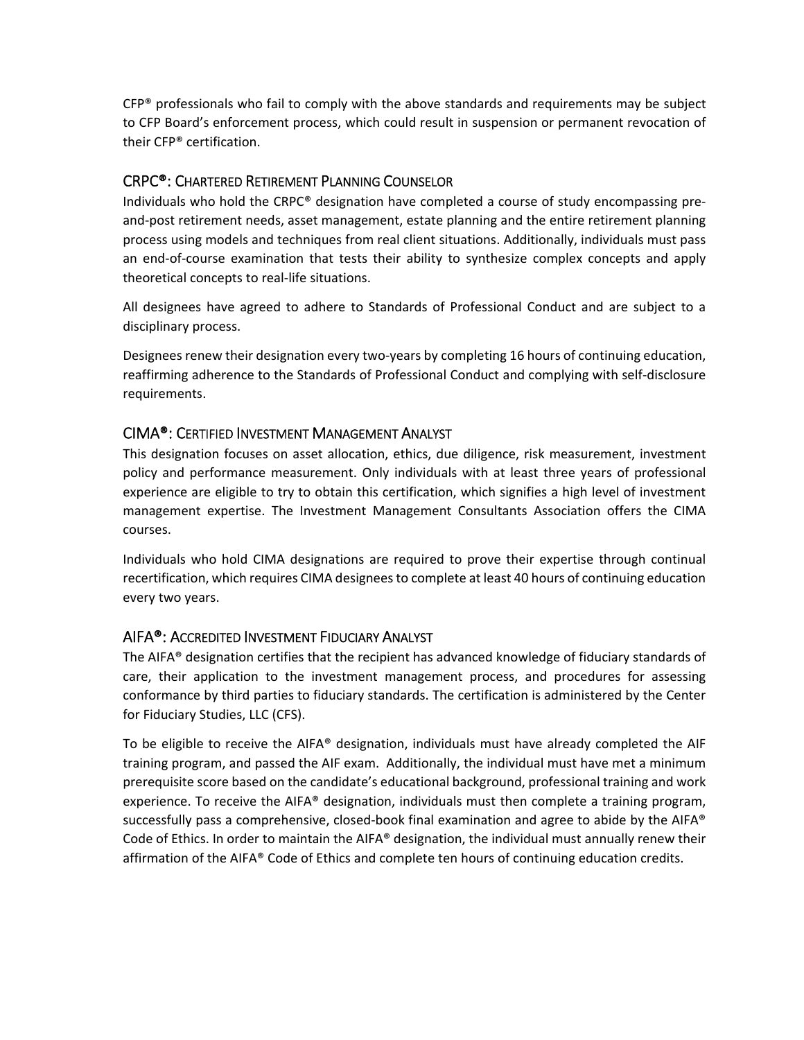$CFP<sup>®</sup>$  professionals who fail to comply with the above standards and requirements may be subject to CFP Board's enforcement process, which could result in suspension or permanent revocation of their CFP® certification.

#### CRPC®: CHARTERED RETIREMENT PLANNING COUNSELOR

Individuals who hold the CRPC® designation have completed a course of study encompassing pre‐ and‐post retirement needs, asset management, estate planning and the entire retirement planning process using models and techniques from real client situations. Additionally, individuals must pass an end-of-course examination that tests their ability to synthesize complex concepts and apply theoretical concepts to real‐life situations.

All designees have agreed to adhere to Standards of Professional Conduct and are subject to a disciplinary process.

Designees renew their designation every two-years by completing 16 hours of continuing education, reaffirming adherence to the Standards of Professional Conduct and complying with self‐disclosure requirements.

#### CIMA®: CERTIFIED INVESTMENT MANAGEMENT ANALYST

This designation focuses on asset allocation, ethics, due diligence, risk measurement, investment policy and performance measurement. Only individuals with at least three years of professional experience are eligible to try to obtain this certification, which signifies a high level of investment management expertise. The Investment Management Consultants Association offers the CIMA courses.

Individuals who hold CIMA designations are required to prove their expertise through continual recertification, which requires CIMA designees to complete at least 40 hours of continuing education every two years.

#### AIFA®: ACCREDITED INVESTMENT FIDUCIARY ANALYST

The AIFA® designation certifies that the recipient has advanced knowledge of fiduciary standards of care, their application to the investment management process, and procedures for assessing conformance by third parties to fiduciary standards. The certification is administered by the Center for Fiduciary Studies, LLC (CFS).

To be eligible to receive the AIFA® designation, individuals must have already completed the AIF training program, and passed the AIF exam. Additionally, the individual must have met a minimum prerequisite score based on the candidate's educational background, professional training and work experience. To receive the AIFA® designation, individuals must then complete a training program, successfully pass a comprehensive, closed-book final examination and agree to abide by the AIFA<sup>®</sup> Code of Ethics. In order to maintain the AIFA® designation, the individual must annually renew their affirmation of the AIFA® Code of Ethics and complete ten hours of continuing education credits.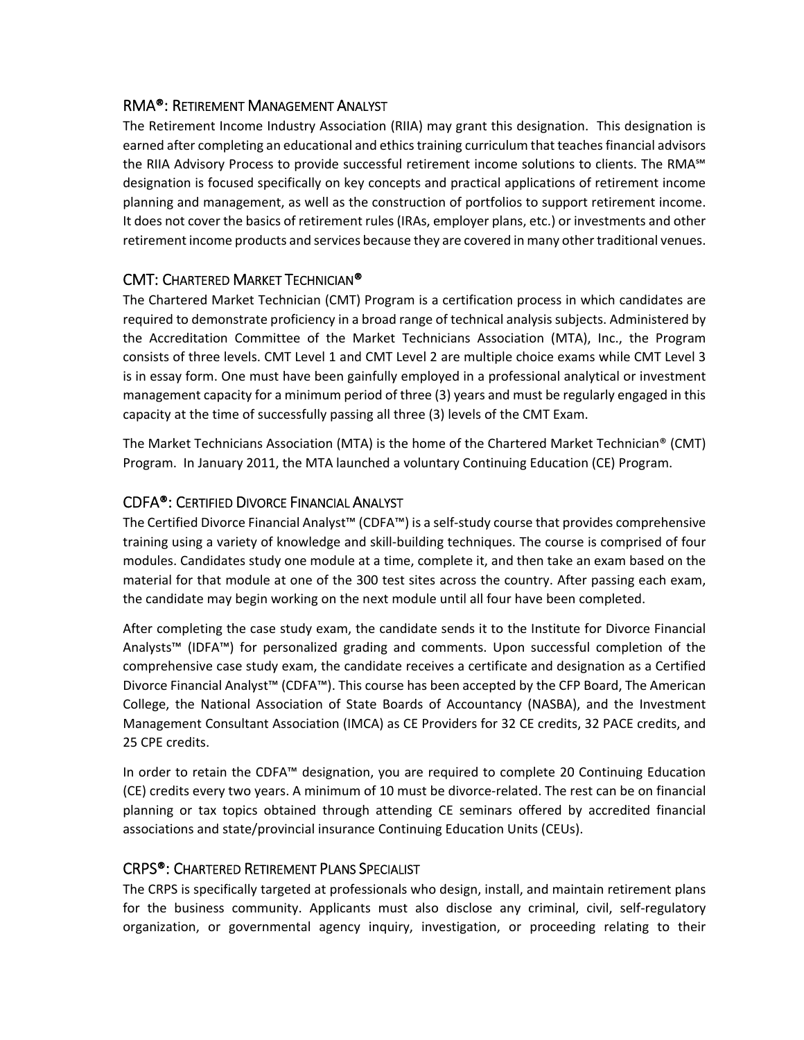#### RMA®: RETIREMENT MANAGEMENT ANALYST

The Retirement Income Industry Association (RIIA) may grant this designation. This designation is earned after completing an educational and ethics training curriculum that teaches financial advisors the RIIA Advisory Process to provide successful retirement income solutions to clients. The RMA℠ designation is focused specifically on key concepts and practical applications of retirement income planning and management, as well as the construction of portfolios to support retirement income. It does not cover the basics of retirement rules (IRAs, employer plans, etc.) or investments and other retirement income products and services because they are covered in many other traditional venues.

### CMT: CHARTERED MARKET TECHNICIAN®

The Chartered Market Technician (CMT) Program is a certification process in which candidates are required to demonstrate proficiency in a broad range of technical analysis subjects. Administered by the Accreditation Committee of the Market Technicians Association (MTA), Inc., the Program consists of three levels. CMT Level 1 and CMT Level 2 are multiple choice exams while CMT Level 3 is in essay form. One must have been gainfully employed in a professional analytical or investment management capacity for a minimum period of three (3) years and must be regularly engaged in this capacity at the time of successfully passing all three (3) levels of the CMT Exam.

The Market Technicians Association (MTA) is the home of the Chartered Market Technician® (CMT) Program. In January 2011, the MTA launched a voluntary Continuing Education (CE) Program.

## CDFA®: CERTIFIED DIVORCE FINANCIAL ANALYST

The Certified Divorce Financial Analyst™ (CDFA™) is a self‐study course that provides comprehensive training using a variety of knowledge and skill‐building techniques. The course is comprised of four modules. Candidates study one module at a time, complete it, and then take an exam based on the material for that module at one of the 300 test sites across the country. After passing each exam, the candidate may begin working on the next module until all four have been completed.

After completing the case study exam, the candidate sends it to the Institute for Divorce Financial Analysts™ (IDFA™) for personalized grading and comments. Upon successful completion of the comprehensive case study exam, the candidate receives a certificate and designation as a Certified Divorce Financial Analyst™ (CDFA™). This course has been accepted by the CFP Board, The American College, the National Association of State Boards of Accountancy (NASBA), and the Investment Management Consultant Association (IMCA) as CE Providers for 32 CE credits, 32 PACE credits, and 25 CPE credits.

In order to retain the CDFA™ designation, you are required to complete 20 Continuing Education (CE) credits every two years. A minimum of 10 must be divorce‐related. The rest can be on financial planning or tax topics obtained through attending CE seminars offered by accredited financial associations and state/provincial insurance Continuing Education Units (CEUs).

### CRPS®: CHARTERED RETIREMENT PLANS SPECIALIST

The CRPS is specifically targeted at professionals who design, install, and maintain retirement plans for the business community. Applicants must also disclose any criminal, civil, self-regulatory organization, or governmental agency inquiry, investigation, or proceeding relating to their